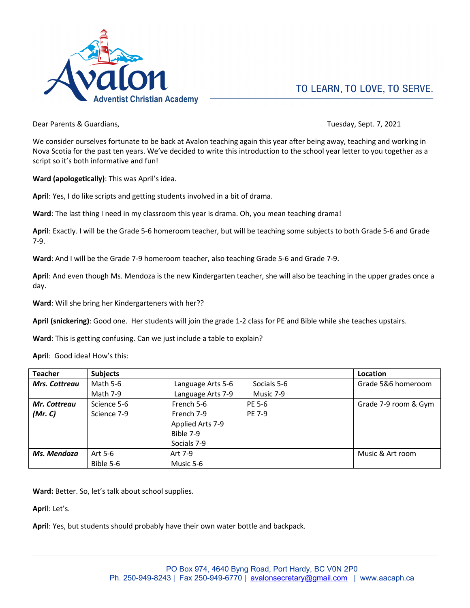

Dear Parents & Guardians, Tuesday, Sept. 7, 2021

We consider ourselves fortunate to be back at Avalon teaching again this year after being away, teaching and working in Nova Scotia for the past ten years. We've decided to write this introduction to the school year letter to you together as a script so it's both informative and fun!

**Ward (apologetically)**: This was April's idea.

**April**: Yes, I do like scripts and getting students involved in a bit of drama.

**Ward**: The last thing I need in my classroom this year is drama. Oh, you mean teaching drama!

**April**: Exactly. I will be the Grade 5-6 homeroom teacher, but will be teaching some subjects to both Grade 5-6 and Grade 7-9.

**Ward**: And I will be the Grade 7-9 homeroom teacher, also teaching Grade 5-6 and Grade 7-9.

**April**: And even though Ms. Mendoza is the new Kindergarten teacher, she will also be teaching in the upper grades once a day.

**Ward**: Will she bring her Kindergarteners with her??

**April (snickering)**: Good one. Her students will join the grade 1-2 class for PE and Bible while she teaches upstairs.

**Ward**: This is getting confusing. Can we just include a table to explain?

**April**: Good idea! How's this:

| <b>Teacher</b>       | <b>Subjects</b> |                   |               | Location             |
|----------------------|-----------------|-------------------|---------------|----------------------|
| <b>Mrs. Cottreau</b> | Math 5-6        | Language Arts 5-6 | Socials 5-6   | Grade 5&6 homeroom   |
|                      | Math 7-9        | Language Arts 7-9 | Music 7-9     |                      |
| Mr. Cottreau         | Science 5-6     | French 5-6        | PE 5-6        | Grade 7-9 room & Gym |
| (Mr, C)              | Science 7-9     | French 7-9        | <b>PE 7-9</b> |                      |
|                      |                 | Applied Arts 7-9  |               |                      |
|                      |                 | Bible 7-9         |               |                      |
|                      |                 | Socials 7-9       |               |                      |
| Ms. Mendoza          | Art 5-6         | Art 7-9           |               | Music & Art room     |
|                      | Bible 5-6       | Music 5-6         |               |                      |

Ward: Better. So, let's talk about school supplies.

**Apri**l: Let's.

**April**: Yes, but students should probably have their own water bottle and backpack.